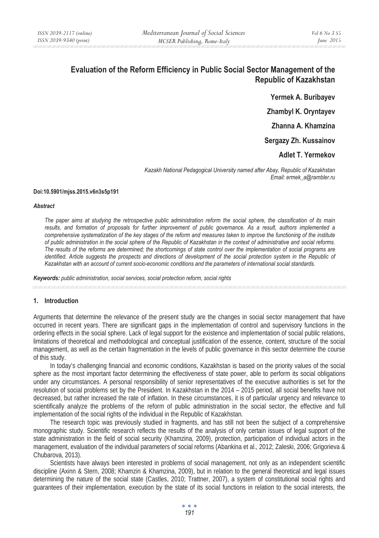# **Evaluation of the Reform Efficiency in Public Social Sector Management of the Republic of Kazakhstan**

**Yermek A. Buribayev** 

**Zhambyl K. Oryntayev** 

**Zhanna A. Khamzina** 

**Sergazy Zh. Kussainov** 

**Adlet T. Yermekov** 

*Kazakh National Pedagogical University named after Abay, Republic of Kazakhstan Email: ermek\_a@rambler.ru* 

#### **Doi:10.5901/mjss.2015.v6n3s5p191**

#### *Abstract*

*The paper aims at studying the retrospective public administration reform the social sphere, the classification of its main results, and formation of proposals for further improvement of public governance. As a result, authors implemented a comprehensive systematization of the key stages of the reform and measures taken to improve the functioning of the institute of public administration in the social sphere of the Republic of Kazakhstan in the context of administrative and social reforms. The results of the reforms are determined; the shortcomings of state control over the implementation of social programs are identified. Article suggests the prospects and directions of development of the social protection system in the Republic of Kazakhstan with an account of current socio-economic conditions and the parameters of international social standards.* 

*Keywords: public administration, social services, social protection reform, social rights*

### **1. Introduction**

Arguments that determine the relevance of the present study are the changes in social sector management that have occurred in recent years. There are significant gaps in the implementation of control and supervisory functions in the ordering effects in the social sphere. Lack of legal support for the existence and implementation of social public relations, limitations of theoretical and methodological and conceptual justification of the essence, content, structure of the social management, as well as the certain fragmentation in the levels of public governance in this sector determine the course of this study.

In today's challenging financial and economic conditions, Kazakhstan is based on the priority values of the social sphere as the most important factor determining the effectiveness of state power, able to perform its social obligations under any circumstances. A personal responsibility of senior representatives of the executive authorities is set for the resolution of social problems set by the President. In Kazakhstan in the 2014 – 2015 period, all social benefits have not decreased, but rather increased the rate of inflation. In these circumstances, it is of particular urgency and relevance to scientifically analyze the problems of the reform of public administration in the social sector, the effective and full implementation of the social rights of the individual in the Republic of Kazakhstan.

The research topic was previously studied in fragments, and has still not been the subject of a comprehensive monographic study. Scientific research reflects the results of the analysis of only certain issues of legal support of the state administration in the field of social security (Khamzina, 2009), protection, participation of individual actors in the management, evaluation of the individual parameters of social reforms (Abankina et al., 2012; Zaleski, 2006; Grigorieva & Chubarova, 2013).

Scientists have always been interested in problems of social management, not only as an independent scientific discipline (Axinn & Stern, 2008; Khamzin & Khamzina, 2009), but in relation to the general theoretical and legal issues determining the nature of the social state (Castles, 2010; Trattner, 2007), a system of constitutional social rights and guarantees of their implementation, execution by the state of its social functions in relation to the social interests, the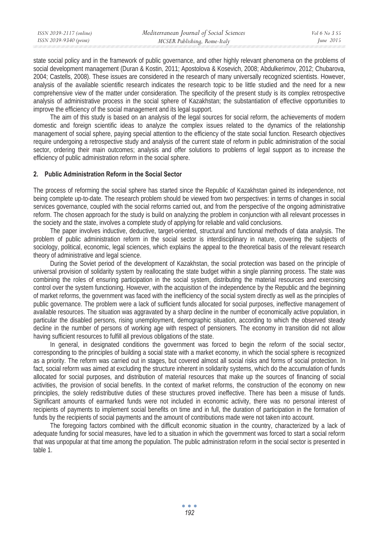| ISSN 2039-2117 (online) | Mediterranean Journal of Social Sciences | Vol 6 No. 3 S5 |
|-------------------------|------------------------------------------|----------------|
| ISSN 2039-9340 (print)  | MCSER Publishing, Rome-Italy             | June $2015$    |
|                         |                                          |                |

state social policy and in the framework of public governance, and other highly relevant phenomena on the problems of social development management (Duran & Kostin, 2011; Apostolova & Kosevich, 2008; Abdulkerimov, 2012; Chubarova, 2004; Castells, 2008). These issues are considered in the research of many universally recognized scientists. However, analysis of the available scientific research indicates the research topic to be little studied and the need for a new comprehensive view of the matter under consideration. The specificity of the present study is its complex retrospective analysis of administrative process in the social sphere of Kazakhstan; the substantiation of effective opportunities to improve the efficiency of the social management and its legal support.

The aim of this study is based on an analysis of the legal sources for social reform, the achievements of modern domestic and foreign scientific ideas to analyze the complex issues related to the dynamics of the relationship management of social sphere, paying special attention to the efficiency of the state social function. Research objectives require undergoing a retrospective study and analysis of the current state of reform in public administration of the social sector, ordering their main outcomes; analysis and offer solutions to problems of legal support as to increase the efficiency of public administration reform in the social sphere.

#### **2. Public Administration Reform in the Social Sector**

The process of reforming the social sphere has started since the Republic of Kazakhstan gained its independence, not being complete up-to-date. The research problem should be viewed from two perspectives: in terms of changes in social services governance, coupled with the social reforms carried out, and from the perspective of the ongoing administrative reform. The chosen approach for the study is build on analyzing the problem in conjunction with all relevant processes in the society and the state, involves a complete study of applying for reliable and valid conclusions.

The paper involves inductive, deductive, target-oriented, structural and functional methods of data analysis. The problem of public administration reform in the social sector is interdisciplinary in nature, covering the subjects of sociology, political, economic, legal sciences, which explains the appeal to the theoretical basis of the relevant research theory of administrative and legal science.

During the Soviet period of the development of Kazakhstan, the social protection was based on the principle of universal provision of solidarity system by reallocating the state budget within a single planning process. The state was combining the roles of ensuring participation in the social system, distributing the material resources and exercising control over the system functioning. However, with the acquisition of the independence by the Republic and the beginning of market reforms, the government was faced with the inefficiency of the social system directly as well as the principles of public governance. The problem were a lack of sufficient funds allocated for social purposes, ineffective management of available resources. The situation was aggravated by a sharp decline in the number of economically active population, in particular the disabled persons, rising unemployment, demographic situation, according to which the observed steady decline in the number of persons of working age with respect of pensioners. The economy in transition did not allow having sufficient resources to fulfill all previous obligations of the state.

In general, in designated conditions the government was forced to begin the reform of the social sector, corresponding to the principles of building a social state with a market economy, in which the social sphere is recognized as a priority. The reform was carried out in stages, but covered almost all social risks and forms of social protection. In fact, social reform was aimed at excluding the structure inherent in solidarity systems, which do the accumulation of funds allocated for social purposes, and distribution of material resources that make up the sources of financing of social activities, the provision of social benefits. In the context of market reforms, the construction of the economy on new principles, the solely redistributive duties of these structures proved ineffective. There has been a misuse of funds. Significant amounts of earmarked funds were not included in economic activity, there was no personal interest of recipients of payments to implement social benefits on time and in full, the duration of participation in the formation of funds by the recipients of social payments and the amount of contributions made were not taken into account.

The foregoing factors combined with the difficult economic situation in the country, characterized by a lack of adequate funding for social measures, have led to a situation in which the government was forced to start a social reform that was unpopular at that time among the population. The public administration reform in the social sector is presented in table 1.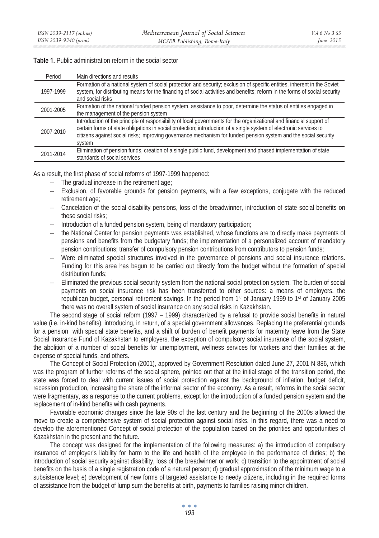# **Table 1.** Public administration reform in the social sector

| Period    | Main directions and results                                                                                                                                                                                                                                                                                                                                             |
|-----------|-------------------------------------------------------------------------------------------------------------------------------------------------------------------------------------------------------------------------------------------------------------------------------------------------------------------------------------------------------------------------|
| 1997-1999 | Formation of a national system of social protection and security; exclusion of specific entities, inherent in the Soviet<br>system, for distributing means for the financing of social activities and benefits; reform in the forms of social security<br>and social risks                                                                                              |
| 2001-2005 | Formation of the national funded pension system, assistance to poor, determine the status of entities engaged in<br>the management of the pension system                                                                                                                                                                                                                |
| 2007-2010 | Introduction of the principle of responsibility of local governments for the organizational and financial support of<br>certain forms of state obligations in social protection; introduction of a single system of electronic services to<br>citizens against social risks; improving governance mechanism for funded pension system and the social security<br>system |
| 2011-2014 | Elimination of pension funds, creation of a single public fund, development and phased implementation of state<br>standards of social services                                                                                                                                                                                                                          |

As a result, the first phase of social reforms of 1997-1999 happened:

- − The gradual increase in the retirement age;
- − Exclusion, of favorable grounds for pension payments, with a few exceptions, conjugate with the reduced retirement age;
- − Cancelation of the social disability pensions, loss of the breadwinner, introduction of state social benefits on these social risks;
- − Introduction of a funded pension system, being of mandatory participation;
- the National Center for pension payments was established, whose functions are to directly make payments of pensions and benefits from the budgetary funds; the implementation of a personalized account of mandatory pension contributions; transfer of compulsory pension contributions from contributors to pension funds;
- Were eliminated special structures involved in the governance of pensions and social insurance relations. Funding for this area has begun to be carried out directly from the budget without the formation of special distribution funds;
- − Eliminated the previous social security system from the national social protection system. The burden of social payments on social insurance risk has been transferred to other sources: a means of employers, the republican budget, personal retirement savings. In the period from 1st of January 1999 to 1st of January 2005 there was no overall system of social insurance on any social risks in Kazakhstan.

The second stage of social reform (1997 – 1999) characterized by a refusal to provide social benefits in natural value (i.e. in-kind benefits), introducing, in return, of a special government allowances. Replacing the preferential grounds for a pension with special state benefits, and a shift of burden of benefit payments for maternity leave from the State Social Insurance Fund of Kazakhstan to employers, the exception of compulsory social insurance of the social system, the abolition of a number of social benefits for unemployment, wellness services for workers and their families at the expense of special funds, and others.

The Concept of Social Protection (2001), approved by Government Resolution dated June 27, 2001 N 886, which was the program of further reforms of the social sphere, pointed out that at the initial stage of the transition period, the state was forced to deal with current issues of social protection against the background of inflation, budget deficit, recession production, increasing the share of the informal sector of the economy. As a result, reforms in the social sector were fragmentary, as a response to the current problems, except for the introduction of a funded pension system and the replacement of in-kind benefits with cash payments.

Favorable economic changes since the late 90s of the last century and the beginning of the 2000s allowed the move to create a comprehensive system of social protection against social risks. In this regard, there was a need to develop the aforementioned Concept of social protection of the population based on the priorities and opportunities of Kazakhstan in the present and the future.

The concept was designed for the implementation of the following measures: a) the introduction of compulsory insurance of employer's liability for harm to the life and health of the employee in the performance of duties; b) the introduction of social security against disability, loss of the breadwinner or work; c) transition to the appointment of social benefits on the basis of a single registration code of a natural person; d) gradual approximation of the minimum wage to a subsistence level; e) development of new forms of targeted assistance to needy citizens, including in the required forms of assistance from the budget of lump sum the benefits at birth, payments to families raising minor children.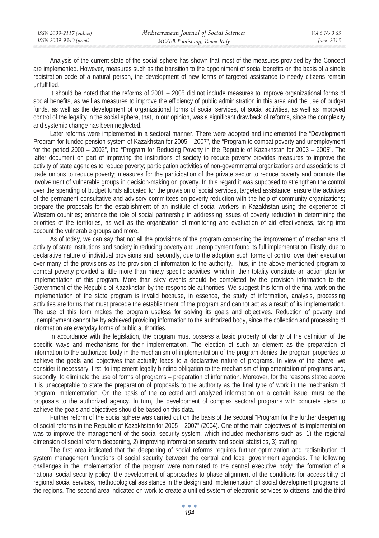| ISSN 2039-2117 (online) | Mediterranean Journal of Social Sciences | Vol 6 No 3 S5 |
|-------------------------|------------------------------------------|---------------|
| ISSN 2039-9340 (print)  | MCSER Publishing, Rome-Italy             | June 2015     |
|                         |                                          |               |

Analysis of the current state of the social sphere has shown that most of the measures provided by the Concept are implemented. However, measures such as the transition to the appointment of social benefits on the basis of a single registration code of a natural person, the development of new forms of targeted assistance to needy citizens remain unfulfilled.

It should be noted that the reforms of 2001 – 2005 did not include measures to improve organizational forms of social benefits, as well as measures to improve the efficiency of public administration in this area and the use of budget funds, as well as the development of organizational forms of social services, of social activities, as well as improved control of the legality in the social sphere, that, in our opinion, was a significant drawback of reforms, since the complexity and systemic change has been neglected.

Later reforms were implemented in a sectoral manner. There were adopted and implemented the "Development Program for funded pension system of Kazakhstan for 2005 – 2007", the "Program to combat poverty and unemployment for the period 2000 – 2002", the "Program for Reducing Poverty in the Republic of Kazakhstan for 2003 – 2005". The latter document on part of improving the institutions of society to reduce poverty provides measures to improve the activity of state agencies to reduce poverty; participation activities of non-governmental organizations and associations of trade unions to reduce poverty; measures for the participation of the private sector to reduce poverty and promote the involvement of vulnerable groups in decision-making on poverty. In this regard it was supposed to strengthen the control over the spending of budget funds allocated for the provision of social services, targeted assistance; ensure the activities of the permanent consultative and advisory committees on poverty reduction with the help of community organizations; prepare the proposals for the establishment of an institute of social workers in Kazakhstan using the experience of Western countries; enhance the role of social partnership in addressing issues of poverty reduction in determining the priorities of the territories, as well as the organization of monitoring and evaluation of aid effectiveness, taking into account the vulnerable groups and more.

As of today, we can say that not all the provisions of the program concerning the improvement of mechanisms of activity of state institutions and society in reducing poverty and unemployment found its full implementation. Firstly, due to declarative nature of individual provisions and, secondly, due to the adoption such forms of control over their execution over many of the provisions as the provision of information to the authority. Thus, in the above mentioned program to combat poverty provided a little more than ninety specific activities, which in their totality constitute an action plan for implementation of this program. More than sixty events should be completed by the provision information to the Government of the Republic of Kazakhstan by the responsible authorities. We suggest this form of the final work on the implementation of the state program is invalid because, in essence, the study of information, analysis, processing activities are forms that must precede the establishment of the program and cannot act as a result of its implementation. The use of this form makes the program useless for solving its goals and objectives. Reduction of poverty and unemployment cannot be by achieved providing information to the authorized body, since the collection and processing of information are everyday forms of public authorities.

In accordance with the legislation, the program must possess a basic property of clarity of the definition of the specific ways and mechanisms for their implementation. The election of such an element as the preparation of information to the authorized body in the mechanism of implementation of the program denies the program properties to achieve the goals and objectives that actually leads to a declarative nature of programs. In view of the above, we consider it necessary, first, to implement legally binding obligation to the mechanism of implementation of programs and, secondly, to eliminate the use of forms of programs – preparation of information. Moreover, for the reasons stated above it is unacceptable to state the preparation of proposals to the authority as the final type of work in the mechanism of program implementation. On the basis of the collected and analyzed information on a certain issue, must be the proposals to the authorized agency. In turn, the development of complex sectoral programs with concrete steps to achieve the goals and objectives should be based on this data.

Further reform of the social sphere was carried out on the basis of the sectoral "Program for the further deepening of social reforms in the Republic of Kazakhstan for 2005 – 2007" (2004). One of the main objectives of its implementation was to improve the management of the social security system, which included mechanisms such as: 1) the regional dimension of social reform deepening, 2) improving information security and social statistics, 3) staffing.

The first area indicated that the deepening of social reforms requires further optimization and redistribution of system management functions of social security between the central and local government agencies. The following challenges in the implementation of the program were nominated to the central executive body: the formation of a national social security policy, the development of approaches to phase alignment of the conditions for accessibility of regional social services, methodological assistance in the design and implementation of social development programs of the regions. The second area indicated on work to create a unified system of electronic services to citizens, and the third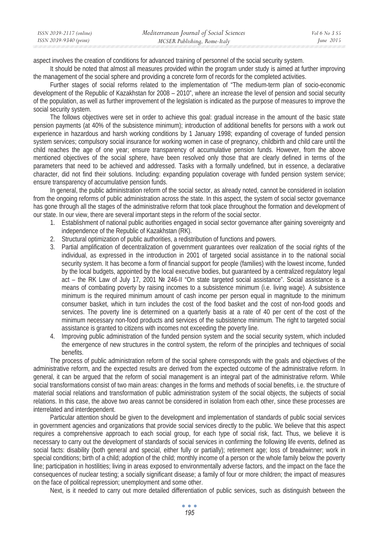| ISSN 2039-2117 (online) | Mediterranean Journal of Social Sciences | <i>Vol</i> 6 No 3 S5 |
|-------------------------|------------------------------------------|----------------------|
| ISSN 2039-9340 (print)  | MCSER Publishing, Rome-Italy             | June $2015$          |

aspect involves the creation of conditions for advanced training of personnel of the social security system.

It should be noted that almost all measures provided within the program under study is aimed at further improving the management of the social sphere and providing a concrete form of records for the completed activities.

Further stages of social reforms related to the implementation of "The medium-term plan of socio-economic development of the Republic of Kazakhstan for 2008 – 2010", where an increase the level of pension and social security of the population, as well as further improvement of the legislation is indicated as the purpose of measures to improve the social security system.

The follows objectives were set in order to achieve this goal: gradual increase in the amount of the basic state pension payments (at 40% of the subsistence minimum); introduction of additional benefits for persons with a work out experience in hazardous and harsh working conditions by 1 January 1998; expanding of coverage of funded pension system services; compulsory social insurance for working women in case of pregnancy, childbirth and child care until the child reaches the age of one year; ensure transparency of accumulative pension funds. However, from the above mentioned objectives of the social sphere, have been resolved only those that are clearly defined in terms of the parameters that need to be achieved and addressed. Tasks with a formally undefined, but in essence, a declarative character, did not find their solutions. Including: expanding population coverage with funded pension system service; ensure transparency of accumulative pension funds.

In general, the public administration reform of the social sector, as already noted, cannot be considered in isolation from the ongoing reforms of public administration across the state. In this aspect, the system of social sector governance has gone through all the stages of the administrative reform that took place throughout the formation and development of our state. In our view, there are several important steps in the reform of the social sector.

- 1. Establishment of national public authorities engaged in social sector governance after gaining sovereignty and independence of the Republic of Kazakhstan (RK).
- 2. Structural optimization of public authorities, a redistribution of functions and powers.
- 3. Partial amplification of decentralization of government guarantees over realization of the social rights of the individual, as expressed in the introduction in 2001 of targeted social assistance in to the national social security system. It has become a form of financial support for people (families) with the lowest income, funded by the local budgets, appointed by the local executive bodies, but guaranteed by a centralized regulatory legal act – the RK Law of July 17, 2001 № 246-II "On state targeted social assistance". Social assistance is a means of combating poverty by raising incomes to a subsistence minimum (i.e. living wage). A subsistence minimum is the required minimum amount of cash income per person equal in magnitude to the minimum consumer basket, which in turn includes the cost of the food basket and the cost of non-food goods and services. The poverty line is determined on a quarterly basis at a rate of 40 per cent of the cost of the minimum necessary non-food products and services of the subsistence minimum. The right to targeted social assistance is granted to citizens with incomes not exceeding the poverty line.
- 4. Improving public administration of the funded pension system and the social security system, which included the emergence of new structures in the control system, the reform of the principles and techniques of social benefits.

The process of public administration reform of the social sphere corresponds with the goals and objectives of the administrative reform, and the expected results are derived from the expected outcome of the administrative reform. In general, it can be argued that the reform of social management is an integral part of the administrative reform. While social transformations consist of two main areas: changes in the forms and methods of social benefits, i.e. the structure of material social relations and transformation of public administration system of the social objects, the subjects of social relations. In this case, the above two areas cannot be considered in isolation from each other, since these processes are interrelated and interdependent.

Particular attention should be given to the development and implementation of standards of public social services in government agencies and organizations that provide social services directly to the public. We believe that this aspect requires a comprehensive approach to each social group, for each type of social risk, fact. Thus, we believe it is necessary to carry out the development of standards of social services in confirming the following life events, defined as social facts: disability (both general and special, either fully or partially); retirement age; loss of breadwinner; work in special conditions; birth of a child; adoption of the child; monthly income of a person or the whole family below the poverty line; participation in hostilities; living in areas exposed to environmentally adverse factors, and the impact on the face the consequences of nuclear testing; a socially significant disease; a family of four or more children; the impact of measures on the face of political repression; unemployment and some other.

Next, is it needed to carry out more detailed differentiation of public services, such as distinguish between the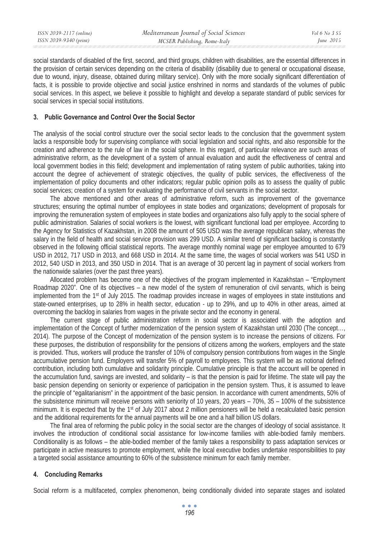| ISSN 2039-2117 (online) | Mediterranean Journal of Social Sciences | Vol 6 No 3 S5 |
|-------------------------|------------------------------------------|---------------|
| ISSN 2039-9340 (print)  | MCSER Publishing, Rome-Italy             | June 2015     |
|                         |                                          |               |

social standards of disabled of the first, second, and third groups, children with disabilities, are the essential differences in the provision of certain services depending on the criteria of disability (disability due to general or occupational disease, due to wound, injury, disease, obtained during military service). Only with the more socially significant differentiation of facts, it is possible to provide objective and social justice enshrined in norms and standards of the volumes of public social services. In this aspect, we believe it possible to highlight and develop a separate standard of public services for social services in special social institutions.

#### **3. Public Governance and Control Over the Social Sector**

The analysis of the social control structure over the social sector leads to the conclusion that the government system lacks a responsible body for supervising compliance with social legislation and social rights, and also responsible for the creation and adherence to the rule of law in the social sphere. In this regard, of particular relevance are such areas of administrative reform, as the development of a system of annual evaluation and audit the effectiveness of central and local government bodies in this field; development and implementation of rating system of public authorities, taking into account the degree of achievement of strategic objectives, the quality of public services, the effectiveness of the implementation of policy documents and other indicators; regular public opinion polls as to assess the quality of public social services; creation of a system for evaluating the performance of civil servants in the social sector.

The above mentioned and other areas of administrative reform, such as improvement of the governance structures; ensuring the optimal number of employees in state bodies and organizations; development of proposals for improving the remuneration system of employees in state bodies and organizations also fully apply to the social sphere of public administration. Salaries of social workers is the lowest, with significant functional load per employee. According to the Agency for Statistics of Kazakhstan, in 2008 the amount of 505 USD was the average republican salary, whereas the salary in the field of health and social service provision was 299 USD. A similar trend of significant backlog is constantly observed in the following official statistical reports. The average monthly nominal wage per employee amounted to 679 USD in 2012, 717 USD in 2013, and 668 USD in 2014. At the same time, the wages of social workers was 541 USD in 2012, 540 USD in 2013, and 350 USD in 2014. That is an average of 30 percent lag in payment of social workers from the nationwide salaries (over the past three years).

Allocated problem has become one of the objectives of the program implemented in Kazakhstan – "Employment Roadmap 2020". One of its objectives – a new model of the system of remuneration of civil servants, which is being implemented from the 1st of July 2015. The roadmap provides increase in wages of employees in state institutions and state-owned enterprises, up to 28% in health sector, education - up to 29%, and up to 40% in other areas, aimed at overcoming the backlog in salaries from wages in the private sector and the economy in general.

The current stage of public administration reform in social sector is associated with the adoption and implementation of the Concept of further modernization of the pension system of Kazakhstan until 2030 (The concept…, 2014). The purpose of the Concept of modernization of the pension system is to increase the pensions of citizens. For these purposes, the distribution of responsibility for the pensions of citizens among the workers, employers and the state is provided. Thus, workers will produce the transfer of 10% of compulsory pension contributions from wages in the Single accumulative pension fund. Employers will transfer 5% of payroll to employees. This system will be as notional defined contribution, including both cumulative and solidarity principle. Cumulative principle is that the account will be opened in the accumulation fund, savings are invested, and solidarity – is that the pension is paid for lifetime. The state will pay the basic pension depending on seniority or experience of participation in the pension system. Thus, it is assumed to leave the principle of "egalitarianism" in the appointment of the basic pension. In accordance with current amendments, 50% of the subsistence minimum will receive persons with seniority of 10 years, 20 years – 70%, 35 – 100% of the subsistence minimum. It is expected that by the 1<sup>st</sup> of July 2017 about 2 million pensioners will be held a recalculated basic pension and the additional requirements for the annual payments will be one and a half billion US dollars.

The final area of reforming the public policy in the social sector are the changes of ideology of social assistance. It involves the introduction of conditional social assistance for low-income families with able-bodied family members. Conditionality is as follows – the able-bodied member of the family takes a responsibility to pass adaptation services or participate in active measures to promote employment, while the local executive bodies undertake responsibilities to pay a targeted social assistance amounting to 60% of the subsistence minimum for each family member.

## **4. Concluding Remarks**

Social reform is a multifaceted, complex phenomenon, being conditionally divided into separate stages and isolated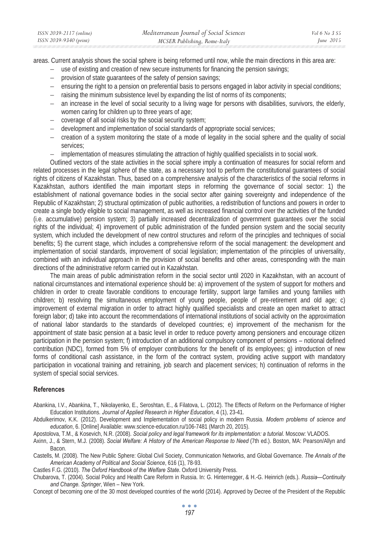| ISSN 2039-2117 (online) | Mediterranean Journal of Social Sciences | Vol 6 No 3 S5 |
|-------------------------|------------------------------------------|---------------|
| ISSN 2039-9340 (print)  | MCSER Publishing, Rome-Italy             | June $2015$   |

areas. Current analysis shows the social sphere is being reformed until now, while the main directions in this area are:

- use of existing and creation of new secure instruments for financing the pension savings;
- provision of state guarantees of the safety of pension savings;
- ensuring the right to a pension on preferential basis to persons engaged in labor activity in special conditions;
- − raising the minimum subsistence level by expanding the list of norms of its components;
- an increase in the level of social security to a living wage for persons with disabilities, survivors, the elderly, women caring for children up to three years of age;
- − coverage of all social risks by the social security system;
- − development and implementation of social standards of appropriate social services;
- − creation of a system monitoring the state of a mode of legality in the social sphere and the quality of social services;
- − implementation of measures stimulating the attraction of highly qualified specialists in to social work.

Outlined vectors of the state activities in the social sphere imply a continuation of measures for social reform and related processes in the legal sphere of the state, as a necessary tool to perform the constitutional guarantees of social rights of citizens of Kazakhstan. Thus, based on a comprehensive analysis of the characteristics of the social reforms in Kazakhstan, authors identified the main important steps in reforming the governance of social sector: 1) the establishment of national governance bodies in the social sector after gaining sovereignty and independence of the Republic of Kazakhstan; 2) structural optimization of public authorities, a redistribution of functions and powers in order to create a single body eligible to social management, as well as increased financial control over the activities of the funded (i.e. accumulative) pension system; 3) partially increased decentralization of government guarantees over the social rights of the individual; 4) improvement of public administration of the funded pension system and the social security system, which included the development of new control structures and reform of the principles and techniques of social benefits; 5) the current stage, which includes a comprehensive reform of the social management: the development and implementation of social standards, improvement of social legislation; implementation of the principles of universality, combined with an individual approach in the provision of social benefits and other areas, corresponding with the main directions of the administrative reform carried out in Kazakhstan.

The main areas of public administration reform in the social sector until 2020 in Kazakhstan, with an account of national circumstances and international experience should be: a) improvement of the system of support for mothers and children in order to create favorable conditions to encourage fertility, support large families and young families with children; b) resolving the simultaneous employment of young people, people of pre-retirement and old age; c) improvement of external migration in order to attract highly qualified specialists and create an open market to attract foreign labor; d) take into account the recommendations of international institutions of social activity on the approximation of national labor standards to the standards of developed countries; e) improvement of the mechanism for the appointment of state basic pension at a basic level in order to reduce poverty among pensioners and encourage citizen participation in the pension system; f) introduction of an additional compulsory component of pensions – notional defined contribution (NDC), formed from 5% of employer contributions for the benefit of its employees; g) introduction of new forms of conditional cash assistance, in the form of the contract system, providing active support with mandatory participation in vocational training and retraining, job search and placement services; h) continuation of reforms in the system of special social services.

#### **References**

Abankina, I.V., Abankina, T., Nikolayenko, E., Seroshtan, E., & Filatova, L. (2012). The Effects of Reform on the Performance of Higher Education Institutions. *Journal of Applied Research in Higher Education*, 4 (1), 23-41.

Abdulkerimov, K.K. (2012). Development and Implementation of social policy in modern Russia. *Modern problems of science and education*, 6. [Online] Available: www.science-education.ru/106-7481 (March 20, 2015).

Apostolova, T.M., & Kosevich, N.R. (2008). *Social policy and legal framework for its implementation: a tutorial*. Moscow: VLADOS.

Axinn, J., & Stern, M.J. (2008). *Social Welfare: A History of the American Response to Need* (7th ed.). Boston, MA: Pearson/Allyn and Bacon.

Castells, M. (2008). The New Public Sphere: Global Civil Society, Communication Networks, and Global Governance. *The Annals of the American Academy of Political and Social Science*, 616 (1), 78-93.

Castles F.G. (2010). *The Oxford Handbook of the Welfare State*. Oxford University Press.

Chubarova, T. (2004). Social Policy and Health Care Reform in Russia. In: G. Hinterregger, & H.-G. Heinrich (eds.). *Russia—Continuity and Change. Springer*, Wien – New York.

Concept of becoming one of the 30 most developed countries of the world (2014). Approved by Decree of the President of the Republic